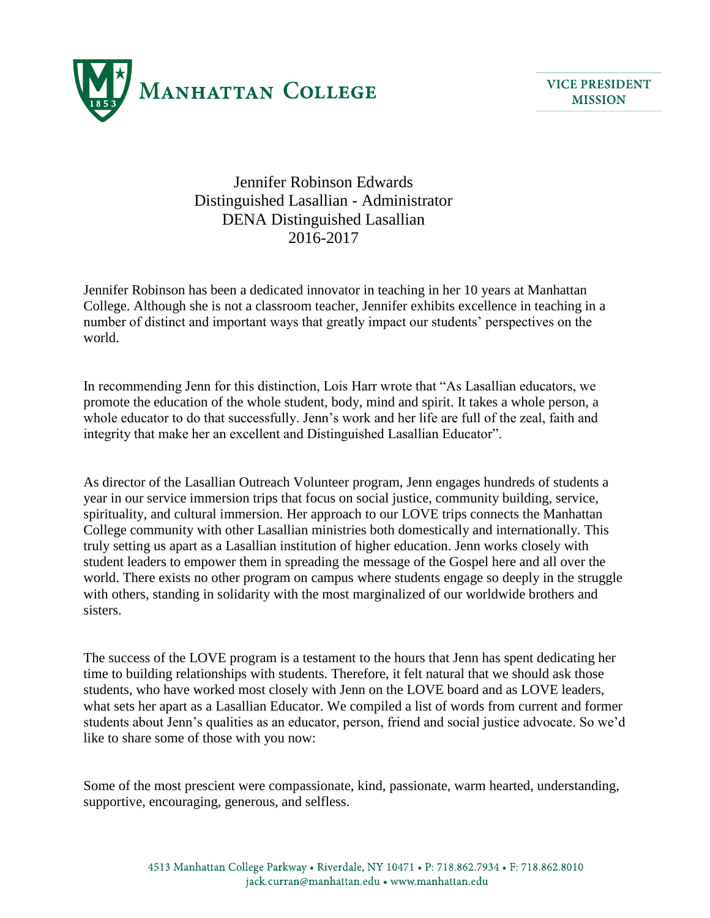

Jennifer Robinson Edwards Distinguished Lasallian - Administrator DENA Distinguished Lasallian 2016-2017

Jennifer Robinson has been a dedicated innovator in teaching in her 10 years at Manhattan College. Although she is not a classroom teacher, Jennifer exhibits excellence in teaching in a number of distinct and important ways that greatly impact our students' perspectives on the world.

In recommending Jenn for this distinction, Lois Harr wrote that "As Lasallian educators, we promote the education of the whole student, body, mind and spirit. It takes a whole person, a whole educator to do that successfully. Jenn's work and her life are full of the zeal, faith and integrity that make her an excellent and Distinguished Lasallian Educator".

As director of the Lasallian Outreach Volunteer program, Jenn engages hundreds of students a year in our service immersion trips that focus on social justice, community building, service, spirituality, and cultural immersion. Her approach to our LOVE trips connects the Manhattan College community with other Lasallian ministries both domestically and internationally. This truly setting us apart as a Lasallian institution of higher education. Jenn works closely with student leaders to empower them in spreading the message of the Gospel here and all over the world. There exists no other program on campus where students engage so deeply in the struggle with others, standing in solidarity with the most marginalized of our worldwide brothers and sisters.

The success of the LOVE program is a testament to the hours that Jenn has spent dedicating her time to building relationships with students. Therefore, it felt natural that we should ask those students, who have worked most closely with Jenn on the LOVE board and as LOVE leaders, what sets her apart as a Lasallian Educator. We compiled a list of words from current and former students about Jenn's qualities as an educator, person, friend and social justice advocate. So we'd like to share some of those with you now:

Some of the most prescient were compassionate, kind, passionate, warm hearted, understanding, supportive, encouraging, generous, and selfless.